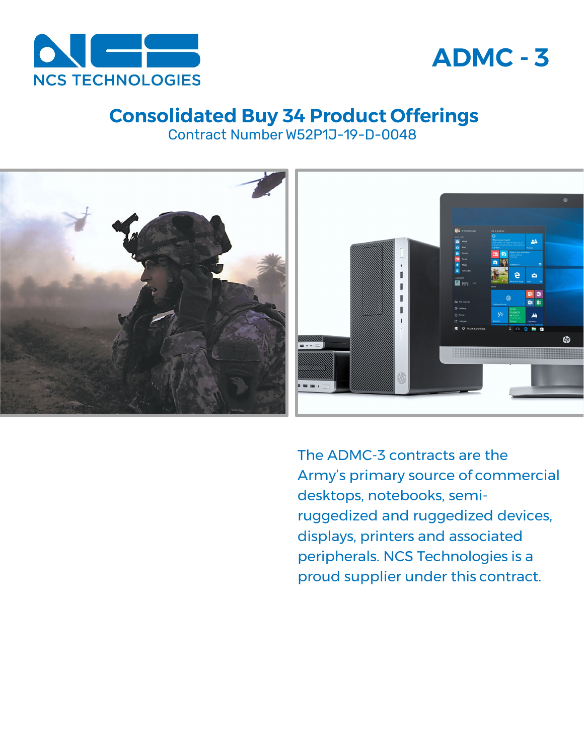



# **Consolidated Buy 34 Product Offerings**

Contract Number W52P1J-19-D-0048



The ADMC-3 contracts are the Army's primary source of commercial desktops, notebooks, semiruggedized and ruggedized devices, displays, printers and associated peripherals. NCS Technologies is a proud supplier under this contract.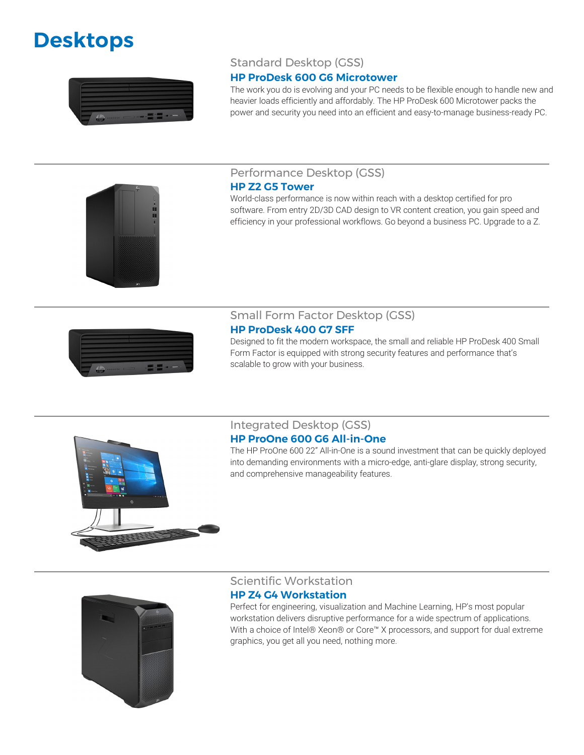# **Desktops**



# Standard Desktop (GSS)

#### **HP ProDesk 600 G6 Microtower**

The work you do is evolving and your PC needs to be flexible enough to handle new and heavier loads efficiently and affordably. The HP ProDesk 600 Microtower packs the power and security you need into an efficient and easy-to-manage business-ready PC.

#### Performance Desktop (GSS)

#### **HP Z2 G5 Tower**

World-class performance is now within reach with a desktop certified for pro software. From entry 2D/3D CAD design to VR content creation, you gain speed and efficiency in your professional workflows. Go beyond a business PC. Upgrade to a Z.



#### Small Form Factor Desktop (GSS) **HP ProDesk 400 G7 SFF**

Designed to fit the modern workspace, the small and reliable HP ProDesk 400 Small Form Factor is equipped with strong security features and performance that's scalable to grow with your business.



#### Integrated Desktop (GSS) **HP ProOne 600 G6 All-in-One**

The HP ProOne 600 22" All-in-One is a sound investment that can be quickly deployed into demanding environments with a micro-edge, anti-glare display, strong security, and comprehensive manageability features.



#### Scientific Workstation

#### **HP Z4 G4 Workstation**

Perfect for engineering, visualization and Machine Learning, HP's most popular workstation delivers disruptive performance for a wide spectrum of applications. With a choice of Intel® Xeon® or Core™ X processors, and support for dual extreme graphics, you get all you need, nothing more.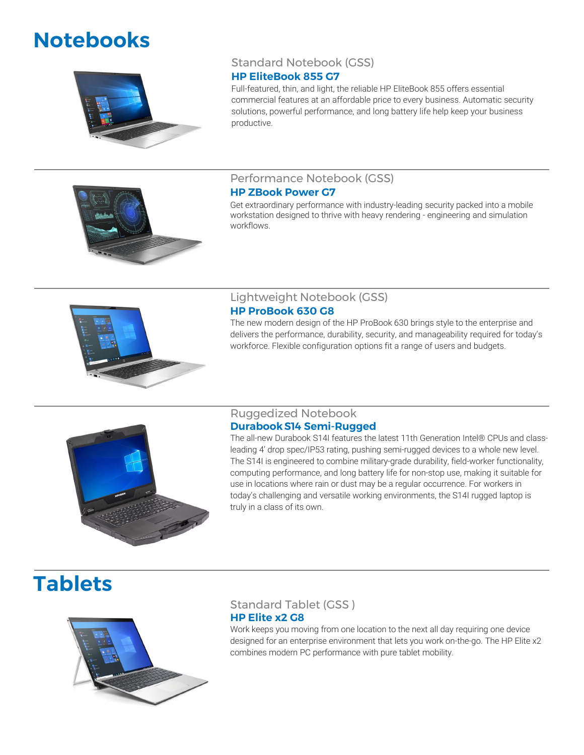# **Notebooks**



Standard Notebook (GSS)

### **HP EliteBook 855 G7**

Full-featured, thin, and light, the reliable HP EliteBook 855 offers essential commercial features at an affordable price to every business. Automatic security solutions, powerful performance, and long battery life help keep your business productive.

# Performance Notebook (GSS)

#### **HP ZBook Power G7**

Get extraordinary performance with industry-leading security packed into a mobile workstation designed to thrive with heavy rendering - engineering and simulation workflows.



# Lightweight Notebook (GSS)

#### **HP ProBook 630 G8**

The new modern design of the HP ProBook 630 brings style to the enterprise and delivers the performance, durability, security, and manageability required for today's workforce. Flexible configuration options fit a range of users and budgets.



#### Ruggedized Notebook **DurabookS14 Semi-Rugged**

The all-new Durabook S14I features the latest 11th Generation Intel® CPUs and classleading 4' drop spec/IP53 rating, pushing semi-rugged devices to a whole new level. The S14I is engineered to combine military-grade durability, field-worker functionality, computing performance, and long battery life for non-stop use, making it suitable for use in locations where rain or dust may be a regular occurrence. For workers in today's challenging and versatile working environments, the S14I rugged laptop is truly in a class of its own.

# **Tablets**



# Standard Tablet (GSS ) **HP Elite x2 G8**

Work keeps you moving from one location to the next all day requiring one device designed for an enterprise environment that lets you work on-the-go. The HP Elite x2 combines modern PC performance with pure tablet mobility.